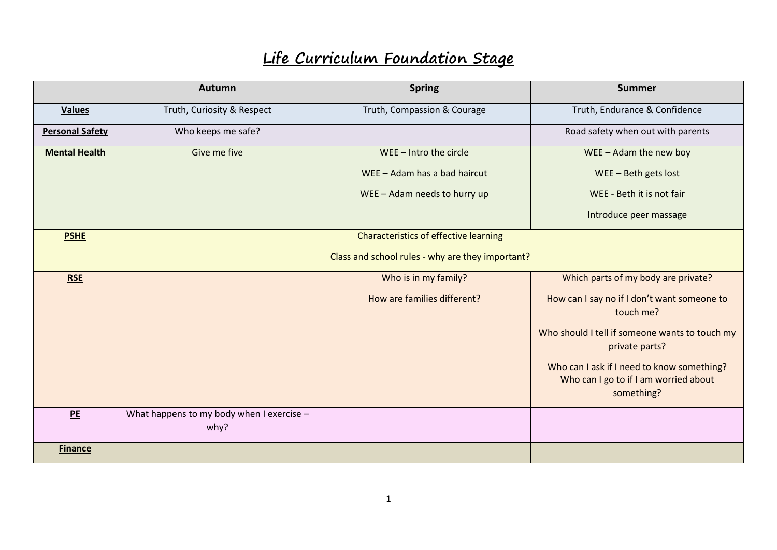## **Life Curriculum Foundation Stage**

|                        | Autumn                                            | <b>Spring</b>                | <b>Summer</b>                                                                                     |
|------------------------|---------------------------------------------------|------------------------------|---------------------------------------------------------------------------------------------------|
| <b>Values</b>          | Truth, Curiosity & Respect                        | Truth, Compassion & Courage  | Truth, Endurance & Confidence                                                                     |
| <b>Personal Safety</b> | Who keeps me safe?                                |                              | Road safety when out with parents                                                                 |
| <b>Mental Health</b>   | Give me five                                      | $WEE - Intro$ the circle     | $WEE - Adam$ the new boy                                                                          |
|                        |                                                   | WEE - Adam has a bad haircut | $WEE - Beth$ gets lost                                                                            |
|                        |                                                   | WEE - Adam needs to hurry up | WEE - Beth it is not fair                                                                         |
|                        |                                                   |                              | Introduce peer massage                                                                            |
| <b>PSHE</b>            | <b>Characteristics of effective learning</b>      |                              |                                                                                                   |
|                        | Class and school rules - why are they important?  |                              |                                                                                                   |
| <b>RSE</b>             |                                                   | Who is in my family?         | Which parts of my body are private?                                                               |
|                        |                                                   | How are families different?  | How can I say no if I don't want someone to<br>touch me?                                          |
|                        |                                                   |                              | Who should I tell if someone wants to touch my<br>private parts?                                  |
|                        |                                                   |                              | Who can I ask if I need to know something?<br>Who can I go to if I am worried about<br>something? |
| PE                     | What happens to my body when I exercise -<br>why? |                              |                                                                                                   |
| <b>Finance</b>         |                                                   |                              |                                                                                                   |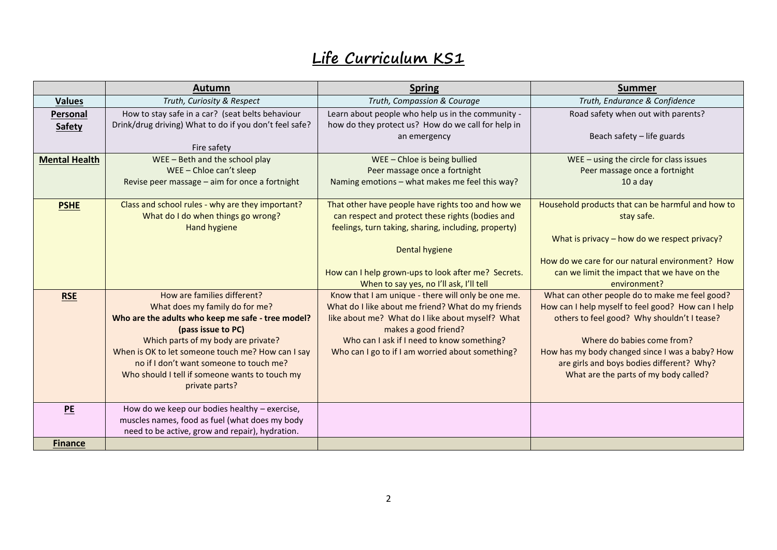## **Life Curriculum KS1**

|                      | Autumn                                                 | <b>Spring</b>                                        | <b>Summer</b>                                      |
|----------------------|--------------------------------------------------------|------------------------------------------------------|----------------------------------------------------|
| <b>Values</b>        | Truth, Curiosity & Respect                             | Truth, Compassion & Courage                          | Truth, Endurance & Confidence                      |
| Personal             | How to stay safe in a car? (seat belts behaviour       | Learn about people who help us in the community -    | Road safety when out with parents?                 |
| <b>Safety</b>        | Drink/drug driving) What to do if you don't feel safe? | how do they protect us? How do we call for help in   |                                                    |
|                      |                                                        | an emergency                                         | Beach safety - life guards                         |
|                      | Fire safety                                            |                                                      |                                                    |
| <b>Mental Health</b> | WEE - Beth and the school play                         | WEE-Chloe is being bullied                           | $WEE - using the circle for class issues$          |
|                      | WEE-Chloe can't sleep                                  | Peer massage once a fortnight                        | Peer massage once a fortnight                      |
|                      | Revise peer massage - aim for once a fortnight         | Naming emotions - what makes me feel this way?       | $10a$ day                                          |
|                      |                                                        |                                                      |                                                    |
| <b>PSHE</b>          | Class and school rules - why are they important?       | That other have people have rights too and how we    | Household products that can be harmful and how to  |
|                      | What do I do when things go wrong?                     | can respect and protect these rights (bodies and     | stay safe.                                         |
|                      | <b>Hand hygiene</b>                                    | feelings, turn taking, sharing, including, property) |                                                    |
|                      |                                                        |                                                      | What is privacy - how do we respect privacy?       |
|                      |                                                        | <b>Dental hygiene</b>                                | How do we care for our natural environment? How    |
|                      |                                                        | How can I help grown-ups to look after me? Secrets.  | can we limit the impact that we have on the        |
|                      |                                                        | When to say yes, no I'll ask, I'll tell              | environment?                                       |
| <b>RSE</b>           | How are families different?                            | Know that I am unique - there will only be one me.   | What can other people do to make me feel good?     |
|                      | What does my family do for me?                         | What do I like about me friend? What do my friends   | How can I help myself to feel good? How can I help |
|                      | Who are the adults who keep me safe - tree model?      | like about me? What do I like about myself? What     | others to feel good? Why shouldn't I tease?        |
|                      | (pass issue to PC)                                     | makes a good friend?                                 |                                                    |
|                      | Which parts of my body are private?                    | Who can I ask if I need to know something?           | Where do babies come from?                         |
|                      | When is OK to let someone touch me? How can I say      | Who can I go to if I am worried about something?     | How has my body changed since I was a baby? How    |
|                      | no if I don't want someone to touch me?                |                                                      | are girls and boys bodies different? Why?          |
|                      | Who should I tell if someone wants to touch my         |                                                      | What are the parts of my body called?              |
|                      | private parts?                                         |                                                      |                                                    |
|                      |                                                        |                                                      |                                                    |
| PE                   | How do we keep our bodies healthy - exercise,          |                                                      |                                                    |
|                      | muscles names, food as fuel (what does my body         |                                                      |                                                    |
|                      | need to be active, grow and repair), hydration.        |                                                      |                                                    |
| <b>Finance</b>       |                                                        |                                                      |                                                    |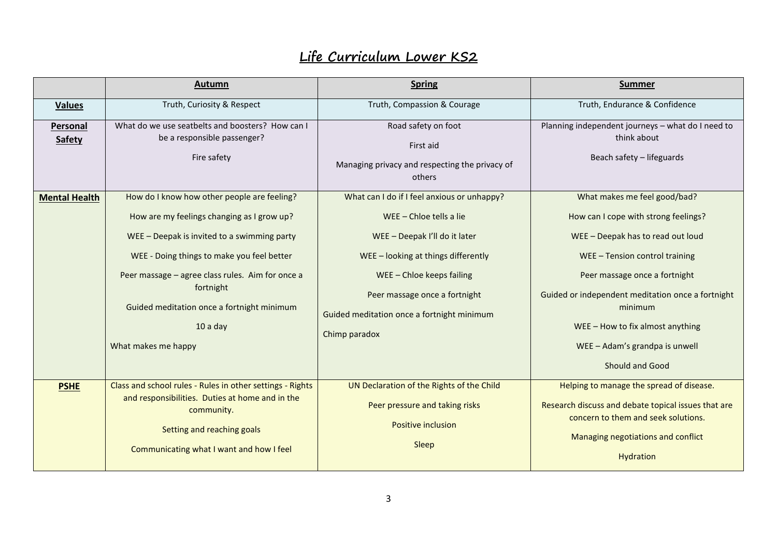## **Life Curriculum Lower KS2**

|                           | Autumn                                                                                                                                                                                                                                                                                                                                    | <b>Spring</b>                                                                                                                                                                                                                                                           | <b>Summer</b>                                                                                                                                                                                                                                                                                                                           |
|---------------------------|-------------------------------------------------------------------------------------------------------------------------------------------------------------------------------------------------------------------------------------------------------------------------------------------------------------------------------------------|-------------------------------------------------------------------------------------------------------------------------------------------------------------------------------------------------------------------------------------------------------------------------|-----------------------------------------------------------------------------------------------------------------------------------------------------------------------------------------------------------------------------------------------------------------------------------------------------------------------------------------|
| <b>Values</b>             | Truth, Curiosity & Respect                                                                                                                                                                                                                                                                                                                | Truth, Compassion & Courage                                                                                                                                                                                                                                             | Truth, Endurance & Confidence                                                                                                                                                                                                                                                                                                           |
| Personal<br><b>Safety</b> | What do we use seatbelts and boosters? How can I<br>be a responsible passenger?<br>Fire safety                                                                                                                                                                                                                                            | Road safety on foot<br>First aid<br>Managing privacy and respecting the privacy of<br>others                                                                                                                                                                            | Planning independent journeys - what do I need to<br>think about<br>Beach safety - lifeguards                                                                                                                                                                                                                                           |
| <b>Mental Health</b>      | How do I know how other people are feeling?<br>How are my feelings changing as I grow up?<br>WEE - Deepak is invited to a swimming party<br>WEE - Doing things to make you feel better<br>Peer massage - agree class rules. Aim for once a<br>fortnight<br>Guided meditation once a fortnight minimum<br>$10a$ day<br>What makes me happy | What can I do if I feel anxious or unhappy?<br>WEE - Chloe tells a lie<br>WEE - Deepak I'll do it later<br>WEE-looking at things differently<br>WEE-Chloe keeps failing<br>Peer massage once a fortnight<br>Guided meditation once a fortnight minimum<br>Chimp paradox | What makes me feel good/bad?<br>How can I cope with strong feelings?<br>WEE - Deepak has to read out loud<br>WEE - Tension control training<br>Peer massage once a fortnight<br>Guided or independent meditation once a fortnight<br>minimum<br>$WEE$ – How to fix almost anything<br>WEE - Adam's grandpa is unwell<br>Should and Good |
| <b>PSHE</b>               | Class and school rules - Rules in other settings - Rights<br>and responsibilities. Duties at home and in the<br>community.<br>Setting and reaching goals<br>Communicating what I want and how I feel                                                                                                                                      | UN Declaration of the Rights of the Child<br>Peer pressure and taking risks<br><b>Positive inclusion</b><br>Sleep                                                                                                                                                       | Helping to manage the spread of disease.<br>Research discuss and debate topical issues that are<br>concern to them and seek solutions.<br>Managing negotiations and conflict<br>Hydration                                                                                                                                               |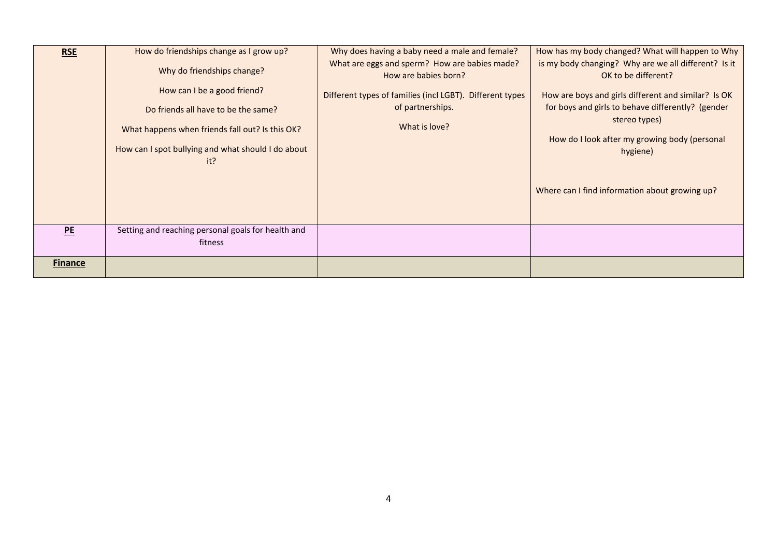| <b>RSE</b>     | How do friendships change as I grow up?                       | Why does having a baby need a male and female?                        | How has my body changed? What will happen to Why                            |
|----------------|---------------------------------------------------------------|-----------------------------------------------------------------------|-----------------------------------------------------------------------------|
|                | Why do friendships change?                                    | What are eggs and sperm? How are babies made?<br>How are babies born? | is my body changing? Why are we all different? Is it<br>OK to be different? |
|                | How can I be a good friend?                                   | Different types of families (incl LGBT). Different types              | How are boys and girls different and similar? Is OK                         |
|                | Do friends all have to be the same?                           | of partnerships.                                                      | for boys and girls to behave differently? (gender<br>stereo types)          |
|                | What happens when friends fall out? Is this OK?               | What is love?                                                         | How do I look after my growing body (personal                               |
|                | How can I spot bullying and what should I do about            |                                                                       | hygiene)                                                                    |
|                | it?                                                           |                                                                       | Where can I find information about growing up?                              |
| PE             | Setting and reaching personal goals for health and<br>fitness |                                                                       |                                                                             |
| <b>Finance</b> |                                                               |                                                                       |                                                                             |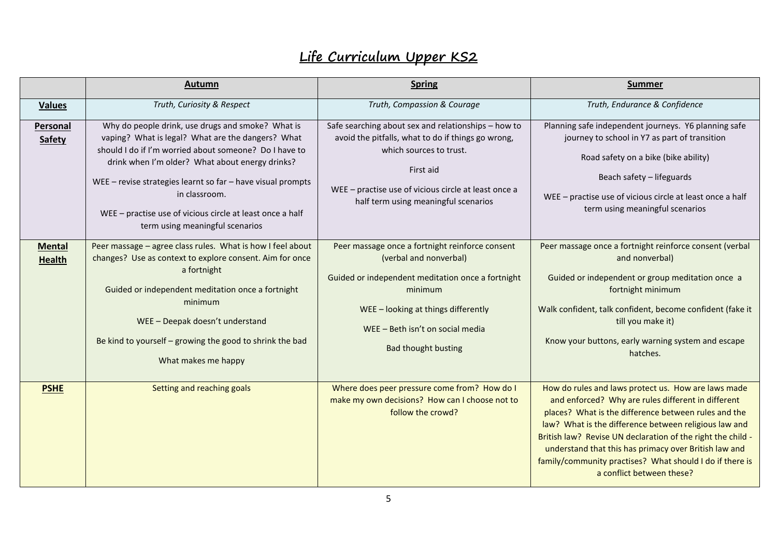## **Life Curriculum Upper KS2**

|                                | Autumn                                                                                                                                                                                                                                                                                                                                                                                              | <b>Spring</b>                                                                                                                                                                                                                                     | <b>Summer</b>                                                                                                                                                                                                                                                                                                                                                                                                                               |
|--------------------------------|-----------------------------------------------------------------------------------------------------------------------------------------------------------------------------------------------------------------------------------------------------------------------------------------------------------------------------------------------------------------------------------------------------|---------------------------------------------------------------------------------------------------------------------------------------------------------------------------------------------------------------------------------------------------|---------------------------------------------------------------------------------------------------------------------------------------------------------------------------------------------------------------------------------------------------------------------------------------------------------------------------------------------------------------------------------------------------------------------------------------------|
| <b>Values</b>                  | Truth, Curiosity & Respect                                                                                                                                                                                                                                                                                                                                                                          | Truth, Compassion & Courage                                                                                                                                                                                                                       | Truth, Endurance & Confidence                                                                                                                                                                                                                                                                                                                                                                                                               |
| Personal<br><b>Safety</b>      | Why do people drink, use drugs and smoke? What is<br>vaping? What is legal? What are the dangers? What<br>should I do if I'm worried about someone? Do I have to<br>drink when I'm older? What about energy drinks?<br>WEE - revise strategies learnt so far - have visual prompts<br>in classroom.<br>WEE - practise use of vicious circle at least once a half<br>term using meaningful scenarios | Safe searching about sex and relationships - how to<br>avoid the pitfalls, what to do if things go wrong,<br>which sources to trust.<br>First aid<br>WEE - practise use of vicious circle at least once a<br>half term using meaningful scenarios | Planning safe independent journeys. Y6 planning safe<br>journey to school in Y7 as part of transition<br>Road safety on a bike (bike ability)<br>Beach safety - lifeguards<br>WEE - practise use of vicious circle at least once a half<br>term using meaningful scenarios                                                                                                                                                                  |
| <b>Mental</b><br><b>Health</b> | Peer massage - agree class rules. What is how I feel about<br>changes? Use as context to explore consent. Aim for once<br>a fortnight<br>Guided or independent meditation once a fortnight<br>minimum<br>WEE - Deepak doesn't understand<br>Be kind to yourself - growing the good to shrink the bad<br>What makes me happy                                                                         | Peer massage once a fortnight reinforce consent<br>(verbal and nonverbal)<br>Guided or independent meditation once a fortnight<br>minimum<br>WEE-looking at things differently<br>WEE - Beth isn't on social media<br><b>Bad thought busting</b>  | Peer massage once a fortnight reinforce consent (verbal<br>and nonverbal)<br>Guided or independent or group meditation once a<br>fortnight minimum<br>Walk confident, talk confident, become confident (fake it<br>till you make it)<br>Know your buttons, early warning system and escape<br>hatches.                                                                                                                                      |
| <b>PSHE</b>                    | Setting and reaching goals                                                                                                                                                                                                                                                                                                                                                                          | Where does peer pressure come from? How do I<br>make my own decisions? How can I choose not to<br>follow the crowd?                                                                                                                               | How do rules and laws protect us. How are laws made<br>and enforced? Why are rules different in different<br>places? What is the difference between rules and the<br>law? What is the difference between religious law and<br>British law? Revise UN declaration of the right the child -<br>understand that this has primacy over British law and<br>family/community practises? What should I do if there is<br>a conflict between these? |